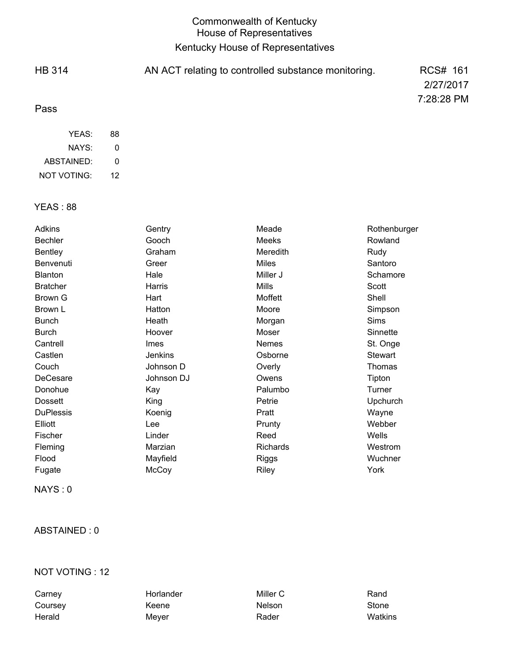# Commonwealth of Kentucky House of Representatives Kentucky House of Representatives

| <b>HB 314</b> | AN ACT relating to controlled substance monitoring. | RCS# 161   |
|---------------|-----------------------------------------------------|------------|
|               |                                                     | 2/27/2017  |
| Pass          |                                                     | 7:28:28 PM |
| YEAS:         | 88                                                  |            |

| NAYS:       | Ω  |
|-------------|----|
| ABSTAINED:  | Ω  |
| NOT VOTING: | 12 |

### YEAS : 88

| Adkins           | Gentry         | Meade        | Rothenburger   |
|------------------|----------------|--------------|----------------|
| <b>Bechler</b>   | Gooch          | Meeks        | Rowland        |
| <b>Bentley</b>   | Graham         | Meredith     | Rudy           |
| Benvenuti        | Greer          | <b>Miles</b> | Santoro        |
| <b>Blanton</b>   | Hale           | Miller J     | Schamore       |
| <b>Bratcher</b>  | Harris         | <b>Mills</b> | Scott          |
| Brown G          | Hart           | Moffett      | Shell          |
| Brown L          | Hatton         | Moore        | Simpson        |
| <b>Bunch</b>     | Heath          | Morgan       | Sims           |
| <b>Burch</b>     | Hoover         | Moser        | Sinnette       |
| Cantrell         | <b>Imes</b>    | <b>Nemes</b> | St. Onge       |
| Castlen          | <b>Jenkins</b> | Osborne      | <b>Stewart</b> |
| Couch            | Johnson D      | Overly       | Thomas         |
| DeCesare         | Johnson DJ     | Owens        | Tipton         |
| Donohue          | Kay            | Palumbo      | Turner         |
| <b>Dossett</b>   | King           | Petrie       | Upchurch       |
| <b>DuPlessis</b> | Koenig         | Pratt        | Wayne          |
| Elliott          | Lee            | Prunty       | Webber         |
| Fischer          | Linder         | Reed         | Wells          |
| Fleming          | Marzian        | Richards     | Westrom        |
| Flood            | Mayfield       | Riggs        | Wuchner        |
| Fugate           | McCoy          | <b>Riley</b> | York           |

NAYS : 0

### ABSTAINED : 0

### NOT VOTING : 12

Carney **Horlander** Horlander Miller C **Miller C** Rand Coursey **Coursey Coursely** Keene **Nelson** Nelson Stone Herald Meyer Rader Watkins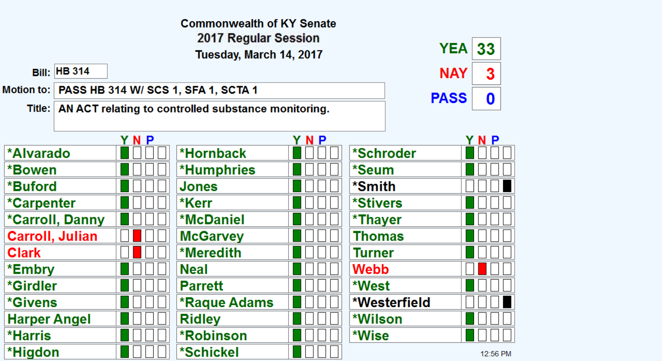|                         |                                                  |     | <b>Commonwealth of KY Senate</b>                             |            |              |             |          |
|-------------------------|--------------------------------------------------|-----|--------------------------------------------------------------|------------|--------------|-------------|----------|
| 2017 Regular Session    |                                                  |     |                                                              |            |              |             |          |
| Tuesday, March 14, 2017 |                                                  |     |                                                              | <b>YEA</b> | 33           |             |          |
|                         | <b>Bill: HB 314</b>                              |     |                                                              |            |              | <b>NAY</b>  | 3        |
|                         | Motion to:   PASS HB 314 W/ SCS 1, SFA 1, SCTA 1 |     |                                                              |            |              | <b>PASS</b> |          |
|                         |                                                  |     | Title:   AN ACT relating to controlled substance monitoring. |            |              |             | 0        |
|                         |                                                  |     |                                                              |            |              |             |          |
|                         |                                                  | YNP |                                                              | YNP        |              |             | YNP      |
| <b>*Alvarado</b>        |                                                  |     | *Hornback                                                    |            | *Schroder    |             |          |
| *Bowen                  |                                                  |     | <b>*Humphries</b>                                            |            | *Seum        |             |          |
| *Buford                 |                                                  |     | Jones                                                        |            | *Smith       |             |          |
| <i>*</i> Carpenter      |                                                  |     | *Kerr                                                        |            | *Stivers     |             |          |
| <b>*Carroll, Danny</b>  |                                                  |     | <b>*McDaniel</b>                                             |            | *Thayer      |             |          |
| Carroll, Julian         |                                                  |     | <b>McGarvey</b>                                              |            | Thomas       |             |          |
| <b>Clark</b>            |                                                  |     | *Meredith                                                    |            | Turner       |             |          |
| *Embry                  |                                                  |     | <b>Neal</b>                                                  |            | <b>Webb</b>  |             |          |
| *Girdler                |                                                  |     | <b>Parrett</b>                                               |            | *West        |             |          |
| <i><b>*Givens</b></i>   |                                                  |     | *Raque Adams                                                 |            | *Westerfield |             |          |
| <b>Harper Angel</b>     |                                                  |     | <b>Ridley</b>                                                |            | *Wilson      |             |          |
| <b>*Harris</b>          |                                                  |     | *Robinson                                                    |            | *Wise        |             |          |
| *Higdon                 |                                                  |     | *Schickel                                                    |            |              |             | 12:56 PM |